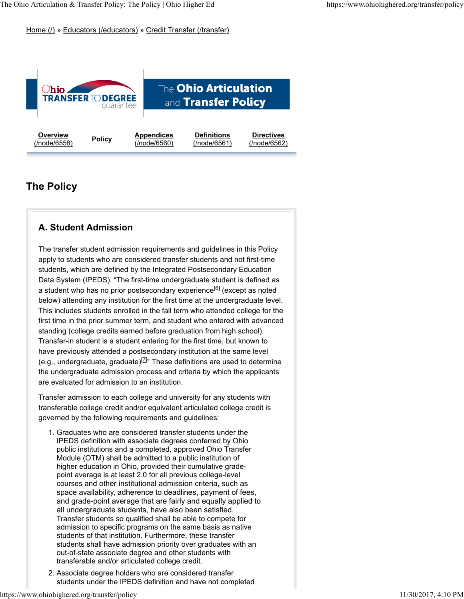Home (/) » Educators (/educators) » Credit Transfer (/transfer)



# **The Policy**

### **A. Student Admission**

The transfer student admission requirements and guidelines in this Policy apply to students who are considered transfer students and not first-time students, which are defined by the Integrated Postsecondary Education Data System (IPEDS). "The first-time undergraduate student is defined as a student who has no prior postsecondary experience<sup>[6]</sup> (except as noted below) attending any institution for the first time at the undergraduate level. This includes students enrolled in the fall term who attended college for the first time in the prior summer term, and student who entered with advanced standing (college credits earned before graduation from high school). Transfer-in student is a student entering for the first time, but known to have previously attended a postsecondary institution at the same level (e.g., undergraduate, graduate)<sup>[7]</sup>" These definitions are used to determine the undergraduate admission process and criteria by which the applicants are evaluated for admission to an institution.

Transfer admission to each college and university for any students with transferable college credit and/or equivalent articulated college credit is governed by the following requirements and guidelines:

- Graduates who are considered transfer students under the 1. IPEDS definition with associate degrees conferred by Ohio public institutions and a completed, approved Ohio Transfer Module (OTM) shall be admitted to a public institution of higher education in Ohio, provided their cumulative gradepoint average is at least 2.0 for all previous college-level courses and other institutional admission criteria, such as space availability, adherence to deadlines, payment of fees, and grade-point average that are fairly and equally applied to all undergraduate students, have also been satisfied. Transfer students so qualified shall be able to compete for admission to specific programs on the same basis as native students of that institution. Furthermore, these transfer students shall have admission priority over graduates with an out-of-state associate degree and other students with transferable and/or articulated college credit.
- Associate degree holders who are considered transfer 2. students under the IPEDS definition and have not completed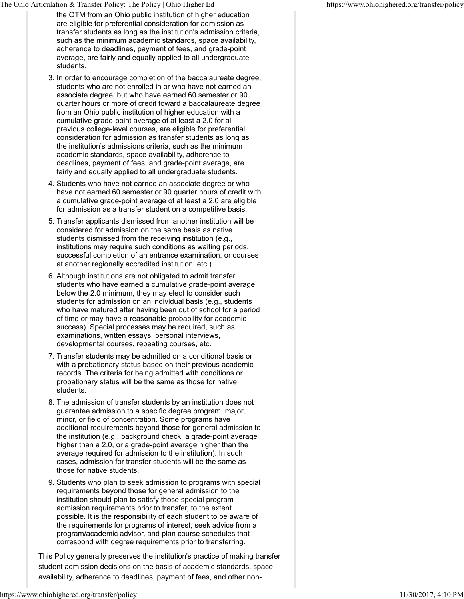- the OTM from an Ohio public institution of higher education are eligible for preferential consideration for admission as transfer students as long as the institution's admission criteria, such as the minimum academic standards, space availability, adherence to deadlines, payment of fees, and grade-point average, are fairly and equally applied to all undergraduate students.
- 3. In order to encourage completion of the baccalaureate degree, students who are not enrolled in or who have not earned an associate degree, but who have earned 60 semester or 90 quarter hours or more of credit toward a baccalaureate degree from an Ohio public institution of higher education with a cumulative grade-point average of at least a 2.0 for all previous college-level courses, are eligible for preferential consideration for admission as transfer students as long as the institution's admissions criteria, such as the minimum academic standards, space availability, adherence to deadlines, payment of fees, and grade-point average, are fairly and equally applied to all undergraduate students.
- 4. Students who have not earned an associate degree or who have not earned 60 semester or 90 quarter hours of credit with a cumulative grade-point average of at least a 2.0 are eligible for admission as a transfer student on a competitive basis.
- 5. Transfer applicants dismissed from another institution will be considered for admission on the same basis as native students dismissed from the receiving institution (e.g., institutions may require such conditions as waiting periods, successful completion of an entrance examination, or courses at another regionally accredited institution, etc.).
- 6. Although institutions are not obligated to admit transfer students who have earned a cumulative grade-point average below the 2.0 minimum, they may elect to consider such students for admission on an individual basis (e.g., students who have matured after having been out of school for a period of time or may have a reasonable probability for academic success). Special processes may be required, such as examinations, written essays, personal interviews, developmental courses, repeating courses, etc.
- 7. Transfer students may be admitted on a conditional basis or with a probationary status based on their previous academic records. The criteria for being admitted with conditions or probationary status will be the same as those for native students.
- 8. The admission of transfer students by an institution does not guarantee admission to a specific degree program, major, minor, or field of concentration. Some programs have additional requirements beyond those for general admission to the institution (e.g., background check, a grade-point average higher than a 2.0, or a grade-point average higher than the average required for admission to the institution). In such cases, admission for transfer students will be the same as those for native students.
- 9. Students who plan to seek admission to programs with special requirements beyond those for general admission to the institution should plan to satisfy those special program admission requirements prior to transfer, to the extent possible. It is the responsibility of each student to be aware of the requirements for programs of interest, seek advice from a program/academic advisor, and plan course schedules that correspond with degree requirements prior to transferring.

This Policy generally preserves the institution's practice of making transfer student admission decisions on the basis of academic standards, space availability, adherence to deadlines, payment of fees, and other non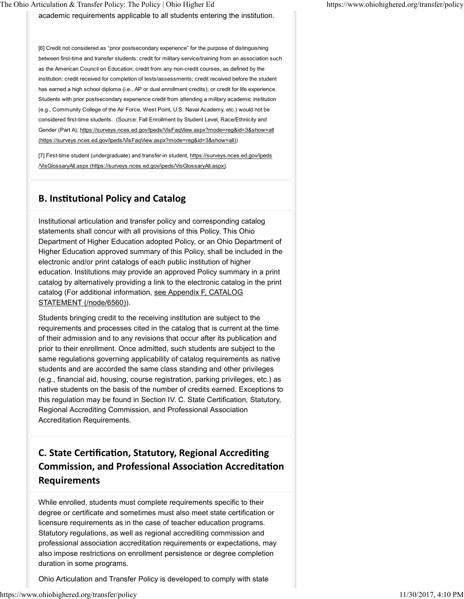academic requirements applicable to all students entering the institution.

[6] Credit not considered as "prior postsecondary experience" for the purpose of distinguishing between first-time and transfer students: credit for military service/training from an association such as the American Council on Education; credit from any non-credit courses, as defined by the institution; credit received for completion of tests/assessments; credit received before the student has earned a high school diploma (i.e., AP or dual enrollment credits); or credit for life experience. Students with prior postsecondary experience credit from attending a military academic institution (e.g., Community College of the Air Force, West Point, U.S. Naval Academy, etc.) would not be considered first-time students. (Source: Fall Enrollment by Student Level, Race/Ethnicity and Gender (Part A), https://surveys.nces.ed.gov/lpeds/VisFaqView.aspx?mode=reg&id=3&show=all (https://surveys.nces.ed.gov/Ipeds/VisFaqView.aspx?mode=reg&id=3&show=all))

[7] First-time student (undergraduate) and transfer-in student, https://surveys.nces.ed.gov/ipeds /VisGlossaryAll.aspx (https://surveys.nces.ed.gov/ipeds/VisGlossaryAll.aspx).

### **B. InsƟtuƟonal Policy and Catalog**

Institutional articulation and transfer policy and corresponding catalog statements shall concur with all provisions of this Policy. This Ohio Department of Higher Education adopted Policy, or an Ohio Department of Higher Education approved summary of this Policy, shall be included in the electronic and/or print catalogs of each public institution of higher education. Institutions may provide an approved Policy summary in a print catalog by alternatively providing a link to the electronic catalog in the print catalog (For additional information, see Appendix F, CATALOG STATEMENT (/node/6560)).

Students bringing credit to the receiving institution are subject to the requirements and processes cited in the catalog that is current at the time of their admission and to any revisions that occur after its publication and prior to their enrollment. Once admitted, such students are subject to the same regulations governing applicability of catalog requirements as native students and are accorded the same class standing and other privileges (e.g., financial aid, housing, course registration, parking privileges, etc.) as native students on the basis of the number of credits earned. Exceptions to this regulation may be found in Section IV. C. State Certification, Statutory, Regional Accrediting Commission, and Professional Association Accreditation Requirements.

# **C. State CerƟficaƟon, Statutory, Regional AccrediƟng Commission, and Professional AssociaƟon AccreditaƟon Requirements**

While enrolled, students must complete requirements specific to their degree or certificate and sometimes must also meet state certification or licensure requirements as in the case of teacher education programs. Statutory regulations, as well as regional accrediting commission and professional association accreditation requirements or expectations, may also impose restrictions on enrollment persistence or degree completion duration in some programs.

Ohio Articulation and Transfer Policy is developed to comply with state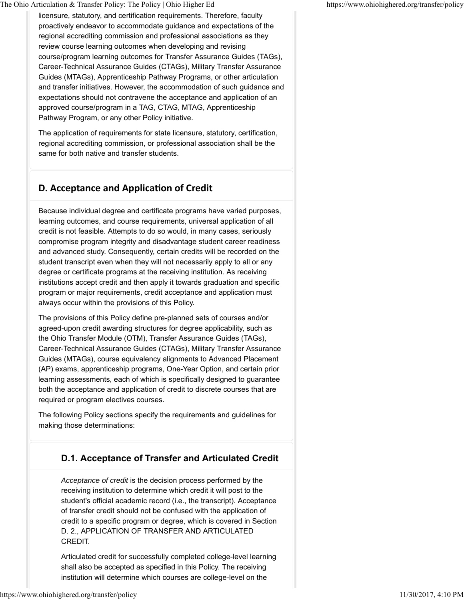licensure, statutory, and certification requirements. Therefore, faculty proactively endeavor to accommodate guidance and expectations of the regional accrediting commission and professional associations as they review course learning outcomes when developing and revising course/program learning outcomes for Transfer Assurance Guides (TAGs), Career-Technical Assurance Guides (CTAGs), Military Transfer Assurance Guides (MTAGs), Apprenticeship Pathway Programs, or other articulation and transfer initiatives. However, the accommodation of such guidance and expectations should not contravene the acceptance and application of an approved course/program in a TAG, CTAG, MTAG, Apprenticeship Pathway Program, or any other Policy initiative.

The application of requirements for state licensure, statutory, certification, regional accrediting commission, or professional association shall be the same for both native and transfer students.

# **D. Acceptance and ApplicaƟon of Credit**

Because individual degree and certificate programs have varied purposes, learning outcomes, and course requirements, universal application of all credit is not feasible. Attempts to do so would, in many cases, seriously compromise program integrity and disadvantage student career readiness and advanced study. Consequently, certain credits will be recorded on the student transcript even when they will not necessarily apply to all or any degree or certificate programs at the receiving institution. As receiving institutions accept credit and then apply it towards graduation and specific program or major requirements, credit acceptance and application must always occur within the provisions of this Policy.

The provisions of this Policy define pre-planned sets of courses and/or agreed-upon credit awarding structures for degree applicability, such as the Ohio Transfer Module (OTM), Transfer Assurance Guides (TAGs), Career-Technical Assurance Guides (CTAGs), Military Transfer Assurance Guides (MTAGs), course equivalency alignments to Advanced Placement (AP) exams, apprenticeship programs, One-Year Option, and certain prior learning assessments, each of which is specifically designed to guarantee both the acceptance and application of credit to discrete courses that are required or program electives courses.

The following Policy sections specify the requirements and guidelines for making those determinations:

### **D.1. Acceptance of Transfer and Articulated Credit**

*Acceptance of credit* is the decision process performed by the receiving institution to determine which credit it will post to the student's official academic record (i.e., the transcript). Acceptance of transfer credit should not be confused with the application of credit to a specific program or degree, which is covered in Section D. 2., APPLICATION OF TRANSFER AND ARTICULATED CREDIT.

Articulated credit for successfully completed college-level learning shall also be accepted as specified in this Policy. The receiving institution will determine which courses are college-level on the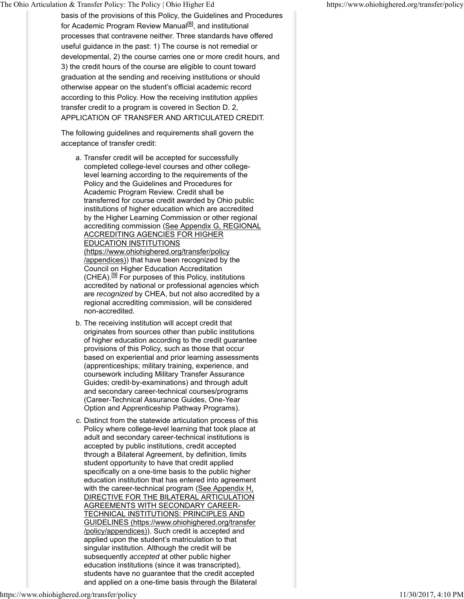basis of the provisions of this Policy, the Guidelines and Procedures for Academic Program Review Manual<sup>[8]</sup>, and institutional processes that contravene neither. Three standards have offered useful guidance in the past: 1) The course is not remedial or developmental, 2) the course carries one or more credit hours, and 3) the credit hours of the course are eligible to count toward graduation at the sending and receiving institutions or should otherwise appear on the student's official academic record according to this Policy. How the receiving institution *applies* transfer credit to a program is covered in Section D. 2, APPLICATION OF TRANSFER AND ARTICULATED CREDIT.

The following guidelines and requirements shall govern the acceptance of transfer credit:

- a. Transfer credit will be accepted for successfully completed college-level courses and other collegelevel learning according to the requirements of the Policy and the Guidelines and Procedures for Academic Program Review. Credit shall be transferred for course credit awarded by Ohio public institutions of higher education which are accredited by the Higher Learning Commission or other regional accrediting commission (See Appendix G, REGIONAL ACCREDITING AGENCIES FOR HIGHER EDUCATION INSTITUTIONS (https://www.ohiohighered.org/transfer/policy /appendices)) that have been recognized by the Council on Higher Education Accreditation  $(CHEA).$ <sup>[9]</sup> For purposes of this Policy, institutions accredited by national or professional agencies which are *recognized* by CHEA, but not also accredited by a regional accrediting commission, will be considered non-accredited.
- b. The receiving institution will accept credit that originates from sources other than public institutions of higher education according to the credit guarantee provisions of this Policy, such as those that occur based on experiential and prior learning assessments (apprenticeships; military training, experience, and coursework including Military Transfer Assurance Guides; credit-by-examinations) and through adult and secondary career-technical courses/programs (Career-Technical Assurance Guides, One-Year Option and Apprenticeship Pathway Programs).
- c. Distinct from the statewide articulation process of this Policy where college-level learning that took place at adult and secondary career-technical institutions is accepted by public institutions, credit accepted through a Bilateral Agreement, by definition, limits student opportunity to have that credit applied specifically on a one-time basis to the public higher education institution that has entered into agreement with the career-technical program (See Appendix H, DIRECTIVE FOR THE BILATERAL ARTICULATION AGREEMENTS WITH SECONDARY CAREER-TECHNICAL INSTITUTIONS: PRINCIPLES AND GUIDELINES (https://www.ohiohighered.org/transfer /policy/appendices)). Such credit is accepted and applied upon the student's matriculation to that singular institution. Although the credit will be subsequently *accepted* at other public higher education institutions (since it was transcripted), students have no guarantee that the credit accepted and applied on a one-time basis through the Bilateral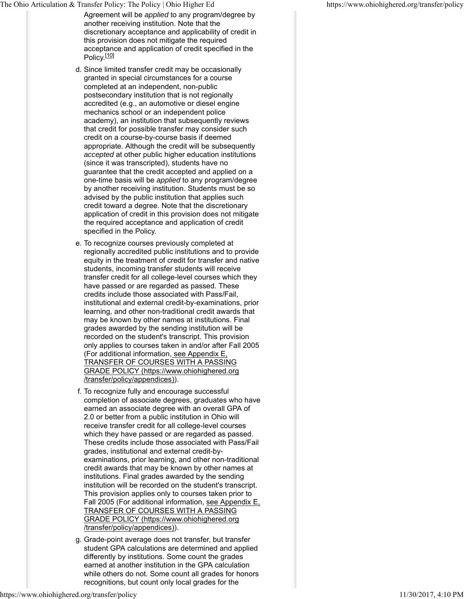Agreement will be *applied* to any program/degree by another receiving institution. Note that the discretionary acceptance and applicability of credit in this provision does not mitigate the required acceptance and application of credit specified in the Policy.<sup>[10]</sup>

- d. Since limited transfer credit may be occasionally granted in special circumstances for a course completed at an independent, non-public postsecondary institution that is not regionally accredited (e.g., an automotive or diesel engine mechanics school or an independent police academy), an institution that subsequently reviews that credit for possible transfer may consider such credit on a course-by-course basis if deemed appropriate. Although the credit will be subsequently *accepted* at other public higher education institutions (since it was transcripted), students have no guarantee that the credit accepted and applied on a one-time basis will be *applied* to any program/degree by another receiving institution. Students must be so advised by the public institution that applies such credit toward a degree. Note that the discretionary application of credit in this provision does not mitigate the required acceptance and application of credit specified in the Policy.
- e. To recognize courses previously completed at regionally accredited public institutions and to provide equity in the treatment of credit for transfer and native students, incoming transfer students will receive transfer credit for all college-level courses which they have passed or are regarded as passed. These credits include those associated with Pass/Fail, institutional and external credit-by-examinations, prior learning, and other non-traditional credit awards that may be known by other names at institutions. Final grades awarded by the sending institution will be recorded on the student's transcript. This provision only applies to courses taken in and/or after Fall 2005 (For additional information, see Appendix E, TRANSFER OF COURSES WITH A PASSING GRADE POLICY (https://www.ohiohighered.org /transfer/policy/appendices)).
- f. To recognize fully and encourage successful completion of associate degrees, graduates who have earned an associate degree with an overall GPA of 2.0 or better from a public institution in Ohio will receive transfer credit for all college-level courses which they have passed or are regarded as passed. These credits include those associated with Pass/Fail grades, institutional and external credit-byexaminations, prior learning, and other non-traditional credit awards that may be known by other names at institutions. Final grades awarded by the sending institution will be recorded on the student's transcript. This provision applies only to courses taken prior to Fall 2005 (For additional information, see Appendix E, TRANSFER OF COURSES WITH A PASSING GRADE POLICY (https://www.ohiohighered.org /transfer/policy/appendices)).
- g. Grade-point average does not transfer, but transfer student GPA calculations are determined and applied differently by institutions. Some count the grades earned at another institution in the GPA calculation while others do not. Some count all grades for honors recognitions, but count only local grades for the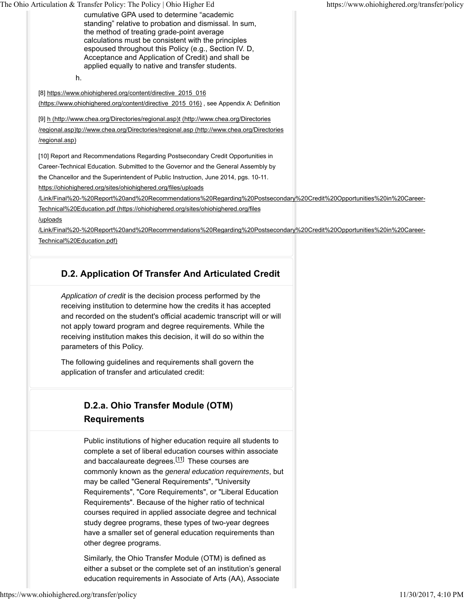cumulative GPA used to determine "academic standing" relative to probation and dismissal. In sum, the method of treating grade-point average calculations must be consistent with the principles espoused throughout this Policy (e.g., Section IV. D, Acceptance and Application of Credit) and shall be applied equally to native and transfer students.

h.

[8] https://www.ohiohighered.org/content/directive\_2015\_016 (https://www.ohiohighered.org/content/directive\_2015\_016) , see Appendix A: Definition

[9] h (http://www.chea.org/Directories/regional.asp)t (http://www.chea.org/Directories

/regional.asp)tp://www.chea.org/Directories/regional.asp (http://www.chea.org/Directories /regional.asp)

[10] Report and Recommendations Regarding Postsecondary Credit Opportunities in Career-Technical Education. Submitted to the Governor and the General Assembly by the Chancellor and the Superintendent of Public Instruction, June 2014, pgs. 10-11.

https://ohiohighered.org/sites/ohiohighered.org/files/uploads

/Link/Final%20-%20Report%20and%20Recommendations%20Regarding%20Postsecondary%20Credit%20Opportunities%20in%20Career-Technical%20Education.pdf (https://ohiohighered.org/sites/ohiohighered.org/files

/uploads

/Link/Final%20-%20Report%20and%20Recommendations%20Regarding%20Postsecondary%20Credit%20Opportunities%20in%20Career-Technical%20Education.pdf)

# **D.2. Application Of Transfer And Articulated Credit**

*Application of credit* is the decision process performed by the receiving institution to determine how the credits it has accepted and recorded on the student's official academic transcript will or will not apply toward program and degree requirements. While the receiving institution makes this decision, it will do so within the parameters of this Policy.

The following guidelines and requirements shall govern the application of transfer and articulated credit:

# **D.2.a. Ohio Transfer Module (OTM) Requirements**

Public institutions of higher education require all students to complete a set of liberal education courses within associate and baccalaureate degrees.<sup>[11]</sup> These courses are commonly known as the *general education requirements*, but may be called "General Requirements", "University Requirements", "Core Requirements", or "Liberal Education Requirements". Because of the higher ratio of technical courses required in applied associate degree and technical study degree programs, these types of two-year degrees have a smaller set of general education requirements than other degree programs.

Similarly, the Ohio Transfer Module (OTM) is defined as either a subset or the complete set of an institution's general education requirements in Associate of Arts (AA), Associate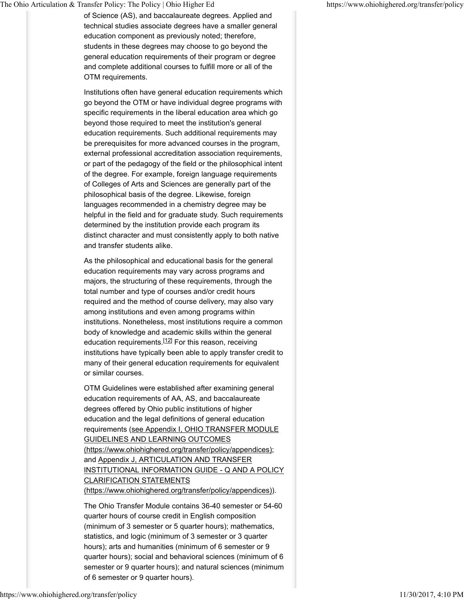of Science (AS), and baccalaureate degrees. Applied and technical studies associate degrees have a smaller general education component as previously noted; therefore, students in these degrees may choose to go beyond the general education requirements of their program or degree and complete additional courses to fulfill more or all of the OTM requirements.

Institutions often have general education requirements which go beyond the OTM or have individual degree programs with specific requirements in the liberal education area which go beyond those required to meet the institution's general education requirements. Such additional requirements may be prerequisites for more advanced courses in the program, external professional accreditation association requirements, or part of the pedagogy of the field or the philosophical intent of the degree. For example, foreign language requirements of Colleges of Arts and Sciences are generally part of the philosophical basis of the degree. Likewise, foreign languages recommended in a chemistry degree may be helpful in the field and for graduate study. Such requirements determined by the institution provide each program its distinct character and must consistently apply to both native and transfer students alike.

As the philosophical and educational basis for the general education requirements may vary across programs and majors, the structuring of these requirements, through the total number and type of courses and/or credit hours required and the method of course delivery, may also vary among institutions and even among programs within institutions. Nonetheless, most institutions require a common body of knowledge and academic skills within the general education requirements.<sup>[12]</sup> For this reason, receiving institutions have typically been able to apply transfer credit to many of their general education requirements for equivalent or similar courses.

OTM Guidelines were established after examining general education requirements of AA, AS, and baccalaureate degrees offered by Ohio public institutions of higher education and the legal definitions of general education requirements (see Appendix I, OHIO TRANSFER MODULE GUIDELINES AND LEARNING OUTCOMES (https://www.ohiohighered.org/transfer/policy/appendices); and Appendix J, ARTICULATION AND TRANSFER INSTITUTIONAL INFORMATION GUIDE - Q AND A POLICY CLARIFICATION STATEMENTS (https://www.ohiohighered.org/transfer/policy/appendices)).

The Ohio Transfer Module contains 36-40 semester or 54-60 quarter hours of course credit in English composition (minimum of 3 semester or 5 quarter hours); mathematics, statistics, and logic (minimum of 3 semester or 3 quarter hours); arts and humanities (minimum of 6 semester or 9 quarter hours); social and behavioral sciences (minimum of 6 semester or 9 quarter hours); and natural sciences (minimum of 6 semester or 9 quarter hours).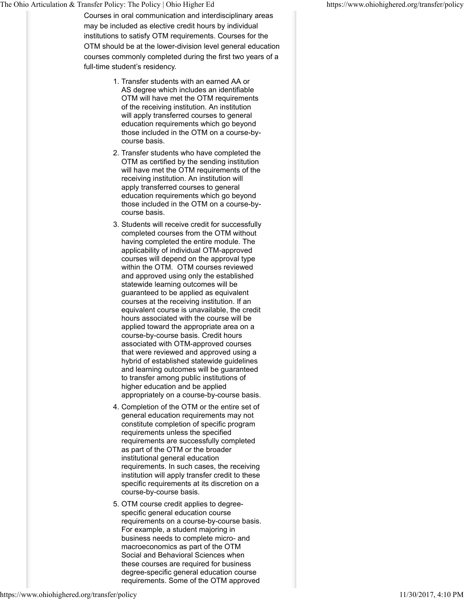Courses in oral communication and interdisciplinary areas may be included as elective credit hours by individual institutions to satisfy OTM requirements. Courses for the OTM should be at the lower-division level general education courses commonly completed during the first two years of a full-time student's residency.

- 1. Transfer students with an earned AA or AS degree which includes an identifiable OTM will have met the OTM requirements of the receiving institution. An institution will apply transferred courses to general education requirements which go beyond those included in the OTM on a course-bycourse basis.
- 2. Transfer students who have completed the OTM as certified by the sending institution will have met the OTM requirements of the receiving institution. An institution will apply transferred courses to general education requirements which go beyond those included in the OTM on a course-bycourse basis.
- Students will receive credit for successfully 3. completed courses from the OTM without having completed the entire module. The applicability of individual OTM-approved courses will depend on the approval type within the OTM. OTM courses reviewed and approved using only the established statewide learning outcomes will be guaranteed to be applied as equivalent courses at the receiving institution. If an equivalent course is unavailable, the credit hours associated with the course will be applied toward the appropriate area on a course-by-course basis. Credit hours associated with OTM-approved courses that were reviewed and approved using a hybrid of established statewide guidelines and learning outcomes will be guaranteed to transfer among public institutions of higher education and be applied appropriately on a course-by-course basis.
- 4. Completion of the OTM or the entire set of general education requirements may not constitute completion of specific program requirements unless the specified requirements are successfully completed as part of the OTM or the broader institutional general education requirements. In such cases, the receiving institution will apply transfer credit to these specific requirements at its discretion on a course-by-course basis.
- 5. OTM course credit applies to degreespecific general education course requirements on a course-by-course basis. For example, a student majoring in business needs to complete micro- and macroeconomics as part of the OTM Social and Behavioral Sciences when these courses are required for business degree-specific general education course requirements. Some of the OTM approved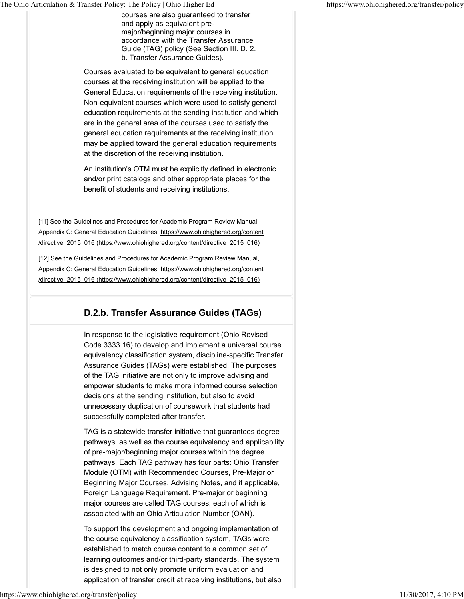courses are also guaranteed to transfer and apply as equivalent premajor/beginning major courses in accordance with the Transfer Assurance Guide (TAG) policy (See Section III. D. 2. b. Transfer Assurance Guides).

Courses evaluated to be equivalent to general education courses at the receiving institution will be applied to the General Education requirements of the receiving institution. Non-equivalent courses which were used to satisfy general education requirements at the sending institution and which are in the general area of the courses used to satisfy the general education requirements at the receiving institution may be applied toward the general education requirements at the discretion of the receiving institution.

An institution's OTM must be explicitly defined in electronic and/or print catalogs and other appropriate places for the benefit of students and receiving institutions.

[11] See the Guidelines and Procedures for Academic Program Review Manual, Appendix C: General Education Guidelines. https://www.ohiohighered.org/content /directive\_2015\_016 (https://www.ohiohighered.org/content/directive\_2015\_016)

[12] See the Guidelines and Procedures for Academic Program Review Manual, Appendix C: General Education Guidelines. https://www.ohiohighered.org/content /directive\_2015\_016 (https://www.ohiohighered.org/content/directive\_2015\_016)

## **D.2.b. Transfer Assurance Guides (TAGs)**

In response to the legislative requirement (Ohio Revised Code 3333.16) to develop and implement a universal course equivalency classification system, discipline-specific Transfer Assurance Guides (TAGs) were established. The purposes of the TAG initiative are not only to improve advising and empower students to make more informed course selection decisions at the sending institution, but also to avoid unnecessary duplication of coursework that students had successfully completed after transfer.

TAG is a statewide transfer initiative that guarantees degree pathways, as well as the course equivalency and applicability of pre-major/beginning major courses within the degree pathways. Each TAG pathway has four parts: Ohio Transfer Module (OTM) with Recommended Courses, Pre-Major or Beginning Major Courses, Advising Notes, and if applicable, Foreign Language Requirement. Pre-major or beginning major courses are called TAG courses, each of which is associated with an Ohio Articulation Number (OAN).

To support the development and ongoing implementation of the course equivalency classification system, TAGs were established to match course content to a common set of learning outcomes and/or third-party standards. The system is designed to not only promote uniform evaluation and application of transfer credit at receiving institutions, but also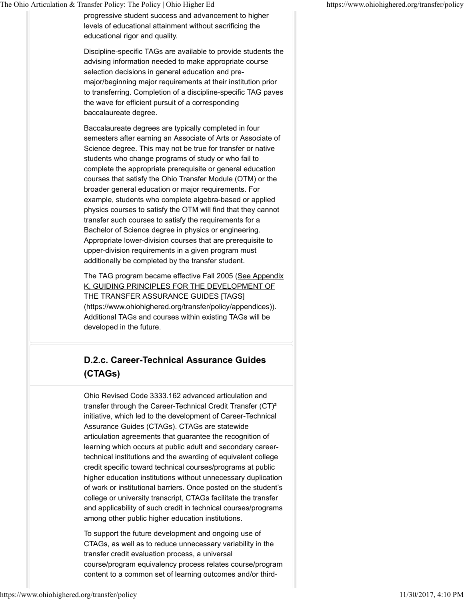progressive student success and advancement to higher levels of educational attainment without sacrificing the educational rigor and quality.

Discipline-specific TAGs are available to provide students the advising information needed to make appropriate course selection decisions in general education and premajor/beginning major requirements at their institution prior to transferring. Completion of a discipline-specific TAG paves the wave for efficient pursuit of a corresponding baccalaureate degree.

Baccalaureate degrees are typically completed in four semesters after earning an Associate of Arts or Associate of Science degree. This may not be true for transfer or native students who change programs of study or who fail to complete the appropriate prerequisite or general education courses that satisfy the Ohio Transfer Module (OTM) or the broader general education or major requirements. For example, students who complete algebra-based or applied physics courses to satisfy the OTM will find that they cannot transfer such courses to satisfy the requirements for a Bachelor of Science degree in physics or engineering. Appropriate lower-division courses that are prerequisite to upper-division requirements in a given program must additionally be completed by the transfer student.

The TAG program became effective Fall 2005 (See Appendix K, GUIDING PRINCIPLES FOR THE DEVELOPMENT OF THE TRANSFER ASSURANCE GUIDES [TAGS] (https://www.ohiohighered.org/transfer/policy/appendices)). Additional TAGs and courses within existing TAGs will be developed in the future.

# **D.2.c. Career-Technical Assurance Guides (CTAGs)**

Ohio Revised Code 3333.162 advanced articulation and transfer through the Career-Technical Credit Transfer (CT)² initiative, which led to the development of Career-Technical Assurance Guides (CTAGs). CTAGs are statewide articulation agreements that guarantee the recognition of learning which occurs at public adult and secondary careertechnical institutions and the awarding of equivalent college credit specific toward technical courses/programs at public higher education institutions without unnecessary duplication of work or institutional barriers. Once posted on the student's college or university transcript, CTAGs facilitate the transfer and applicability of such credit in technical courses/programs among other public higher education institutions.

To support the future development and ongoing use of CTAGs, as well as to reduce unnecessary variability in the transfer credit evaluation process, a universal course/program equivalency process relates course/program content to a common set of learning outcomes and/or third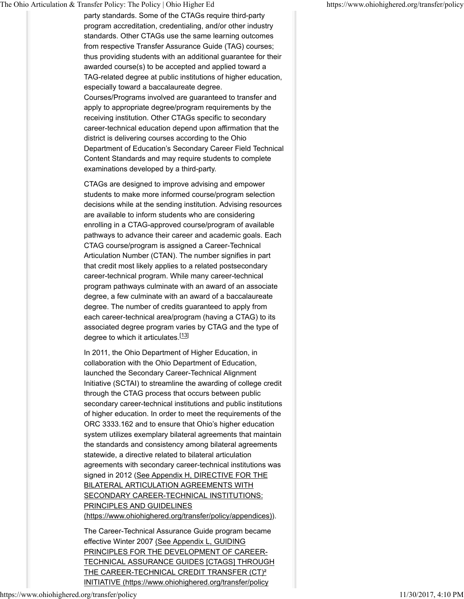party standards. Some of the CTAGs require third-party program accreditation, credentialing, and/or other industry standards. Other CTAGs use the same learning outcomes from respective Transfer Assurance Guide (TAG) courses; thus providing students with an additional guarantee for their awarded course(s) to be accepted and applied toward a TAG-related degree at public institutions of higher education, especially toward a baccalaureate degree. Courses/Programs involved are guaranteed to transfer and apply to appropriate degree/program requirements by the receiving institution. Other CTAGs specific to secondary career-technical education depend upon affirmation that the district is delivering courses according to the Ohio Department of Education's Secondary Career Field Technical Content Standards and may require students to complete examinations developed by a third-party.

CTAGs are designed to improve advising and empower students to make more informed course/program selection decisions while at the sending institution. Advising resources are available to inform students who are considering enrolling in a CTAG-approved course/program of available pathways to advance their career and academic goals. Each CTAG course/program is assigned a Career-Technical Articulation Number (CTAN). The number signifies in part that credit most likely applies to a related postsecondary career-technical program. While many career-technical program pathways culminate with an award of an associate degree, a few culminate with an award of a baccalaureate degree. The number of credits guaranteed to apply from each career-technical area/program (having a CTAG) to its associated degree program varies by CTAG and the type of degree to which it articulates.<sup>[13]</sup>

In 2011, the Ohio Department of Higher Education, in collaboration with the Ohio Department of Education, launched the Secondary Career-Technical Alignment Initiative (SCTAI) to streamline the awarding of college credit through the CTAG process that occurs between public secondary career-technical institutions and public institutions of higher education. In order to meet the requirements of the ORC 3333.162 and to ensure that Ohio's higher education system utilizes exemplary bilateral agreements that maintain the standards and consistency among bilateral agreements statewide, a directive related to bilateral articulation agreements with secondary career-technical institutions was signed in 2012 (See Appendix H, DIRECTIVE FOR THE BILATERAL ARTICULATION AGREEMENTS WITH SECONDARY CAREER-TECHNICAL INSTITUTIONS: PRINCIPLES AND GUIDELINES (https://www.ohiohighered.org/transfer/policy/appendices)).

The Career-Technical Assurance Guide program became effective Winter 2007 (See Appendix L, GUIDING PRINCIPLES FOR THE DEVELOPMENT OF CAREER-TECHNICAL ASSURANCE GUIDES [CTAGS] THROUGH THE CAREER-TECHNICAL CREDIT TRANSFER (CT)² INITIATIVE (https://www.ohiohighered.org/transfer/policy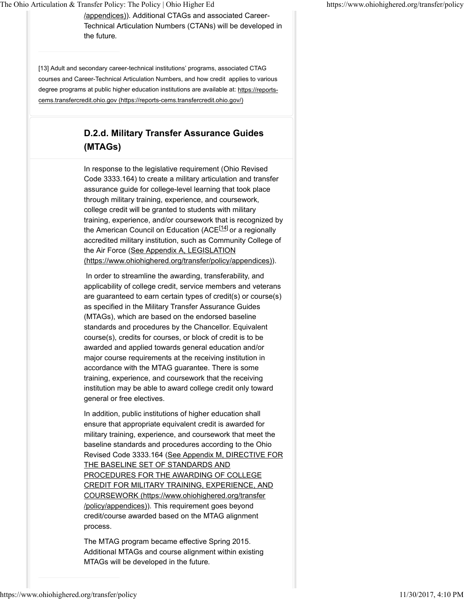/appendices)). Additional CTAGs and associated Career-Technical Articulation Numbers (CTANs) will be developed in the future*.*

[13] Adult and secondary career-technical institutions' programs, associated CTAG courses and Career-Technical Articulation Numbers, and how credit applies to various degree programs at public higher education institutions are available at: https://reportscems.transfercredit.ohio.gov (https://reports-cems.transfercredit.ohio.gov/)

# **D.2.d. Military Transfer Assurance Guides (MTAGs)**

In response to the legislative requirement (Ohio Revised Code 3333.164) to create a military articulation and transfer assurance guide for college-level learning that took place through military training, experience, and coursework, college credit will be granted to students with military training, experience, and/or coursework that is recognized by the American Council on Education (ACE<sup>[14]</sup> or a regionally accredited military institution, such as Community College of the Air Force (See Appendix A, LEGISLATION (https://www.ohiohighered.org/transfer/policy/appendices)).

 In order to streamline the awarding, transferability, and applicability of college credit, service members and veterans are guaranteed to earn certain types of credit(s) or course(s) as specified in the Military Transfer Assurance Guides (MTAGs), which are based on the endorsed baseline standards and procedures by the Chancellor. Equivalent course(s), credits for courses, or block of credit is to be awarded and applied towards general education and/or major course requirements at the receiving institution in accordance with the MTAG guarantee. There is some training, experience, and coursework that the receiving institution may be able to award college credit only toward general or free electives.

In addition, public institutions of higher education shall ensure that appropriate equivalent credit is awarded for military training, experience, and coursework that meet the baseline standards and procedures according to the Ohio Revised Code 3333.164 (See Appendix M, DIRECTIVE FOR THE BASELINE SET OF STANDARDS AND PROCEDURES FOR THE AWARDING OF COLLEGE CREDIT FOR MILITARY TRAINING, EXPERIENCE, AND COURSEWORK (https://www.ohiohighered.org/transfer /policy/appendices)). This requirement goes beyond credit/course awarded based on the MTAG alignment process.

The MTAG program became effective Spring 2015. Additional MTAGs and course alignment within existing MTAGs will be developed in the future*.*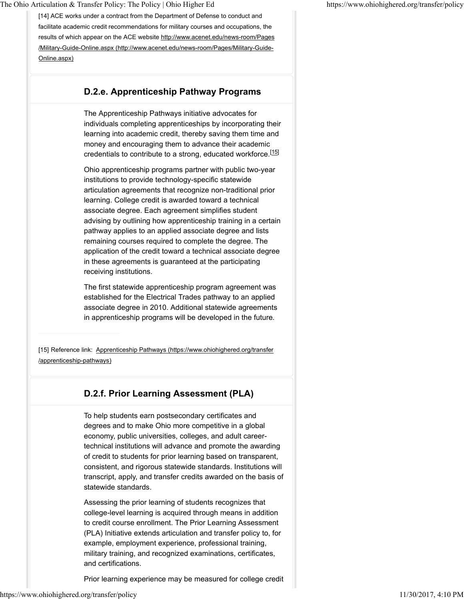[14] ACE works under a contract from the Department of Defense to conduct and facilitate academic credit recommendations for military courses and occupations, the results of which appear on the ACE website http://www.acenet.edu/news-room/Pages /Military-Guide-Online.aspx (http://www.acenet.edu/news-room/Pages/Military-Guide-Online.aspx)

#### **D.2.e. Apprenticeship Pathway Programs**

The Apprenticeship Pathways initiative advocates for individuals completing apprenticeships by incorporating their learning into academic credit, thereby saving them time and money and encouraging them to advance their academic credentials to contribute to a strong, educated workforce.<sup>[15]</sup>

Ohio apprenticeship programs partner with public two-year institutions to provide technology-specific statewide articulation agreements that recognize non-traditional prior learning. College credit is awarded toward a technical associate degree. Each agreement simplifies student advising by outlining how apprenticeship training in a certain pathway applies to an applied associate degree and lists remaining courses required to complete the degree. The application of the credit toward a technical associate degree in these agreements is guaranteed at the participating receiving institutions.

The first statewide apprenticeship program agreement was established for the Electrical Trades pathway to an applied associate degree in 2010. Additional statewide agreements in apprenticeship programs will be developed in the future*.*

[15] Reference link: Apprenticeship Pathways (https://www.ohiohighered.org/transfer /apprenticeship-pathways)

#### **D.2.f. Prior Learning Assessment (PLA)**

To help students earn postsecondary certificates and degrees and to make Ohio more competitive in a global economy, public universities, colleges, and adult careertechnical institutions will advance and promote the awarding of credit to students for prior learning based on transparent, consistent, and rigorous statewide standards. Institutions will transcript, apply, and transfer credits awarded on the basis of statewide standards.

Assessing the prior learning of students recognizes that college-level learning is acquired through means in addition to credit course enrollment. The Prior Learning Assessment (PLA) Initiative extends articulation and transfer policy to, for example, employment experience, professional training, military training, and recognized examinations, certificates, and certifications.

Prior learning experience may be measured for college credit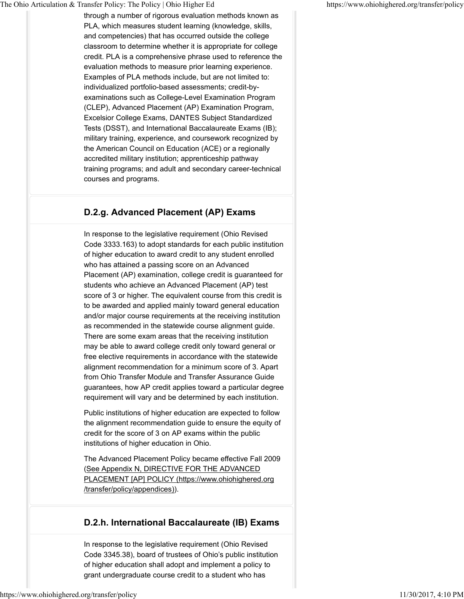through a number of rigorous evaluation methods known as PLA, which measures student learning (knowledge, skills, and competencies) that has occurred outside the college classroom to determine whether it is appropriate for college credit. PLA is a comprehensive phrase used to reference the evaluation methods to measure prior learning experience. Examples of PLA methods include, but are not limited to: individualized portfolio-based assessments; credit-byexaminations such as College-Level Examination Program (CLEP), Advanced Placement (AP) Examination Program, Excelsior College Exams, DANTES Subject Standardized Tests (DSST), and International Baccalaureate Exams (IB); military training, experience, and coursework recognized by the American Council on Education (ACE) or a regionally accredited military institution; apprenticeship pathway training programs; and adult and secondary career-technical courses and programs.

### **D.2.g. Advanced Placement (AP) Exams**

In response to the legislative requirement (Ohio Revised Code 3333.163) to adopt standards for each public institution of higher education to award credit to any student enrolled who has attained a passing score on an Advanced Placement (AP) examination, college credit is guaranteed for students who achieve an Advanced Placement (AP) test score of 3 or higher. The equivalent course from this credit is to be awarded and applied mainly toward general education and/or major course requirements at the receiving institution as recommended in the statewide course alignment guide. There are some exam areas that the receiving institution may be able to award college credit only toward general or free elective requirements in accordance with the statewide alignment recommendation for a minimum score of 3. Apart from Ohio Transfer Module and Transfer Assurance Guide guarantees, how AP credit applies toward a particular degree requirement will vary and be determined by each institution.

Public institutions of higher education are expected to follow the alignment recommendation guide to ensure the equity of credit for the score of 3 on AP exams within the public institutions of higher education in Ohio.

The Advanced Placement Policy became effective Fall 2009 (See Appendix N, DIRECTIVE FOR THE ADVANCED PLACEMENT [AP] POLICY (https://www.ohiohighered.org /transfer/policy/appendices)).

### **D.2.h. International Baccalaureate (IB) Exams**

In response to the legislative requirement (Ohio Revised Code 3345.38), board of trustees of Ohio's public institution of higher education shall adopt and implement a policy to grant undergraduate course credit to a student who has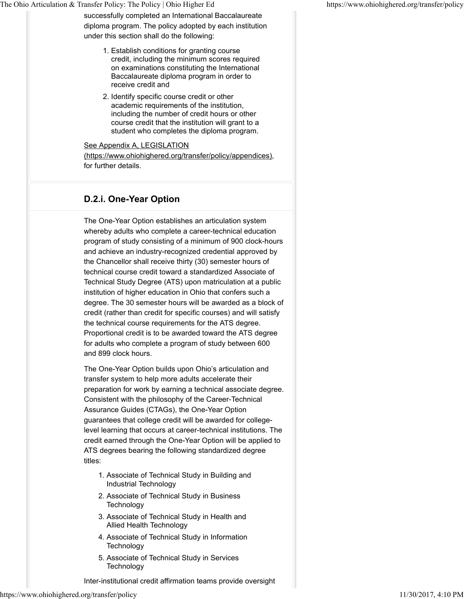successfully completed an International Baccalaureate diploma program. The policy adopted by each institution under this section shall do the following:

- Establish conditions for granting course 1. credit, including the minimum scores required on examinations constituting the International Baccalaureate diploma program in order to receive credit and
- 2. Identify specific course credit or other academic requirements of the institution, including the number of credit hours or other course credit that the institution will grant to a student who completes the diploma program.

#### See Appendix A, LEGISLATION

(https://www.ohiohighered.org/transfer/policy/appendices), for further details.

### **D.2.i. One-Year Option**

The One-Year Option establishes an articulation system whereby adults who complete a career-technical education program of study consisting of a minimum of 900 clock-hours and achieve an industry-recognized credential approved by the Chancellor shall receive thirty (30) semester hours of technical course credit toward a standardized Associate of Technical Study Degree (ATS) upon matriculation at a public institution of higher education in Ohio that confers such a degree. The 30 semester hours will be awarded as a block of credit (rather than credit for specific courses) and will satisfy the technical course requirements for the ATS degree. Proportional credit is to be awarded toward the ATS degree for adults who complete a program of study between 600 and 899 clock hours.

The One-Year Option builds upon Ohio's articulation and transfer system to help more adults accelerate their preparation for work by earning a technical associate degree. Consistent with the philosophy of the Career-Technical Assurance Guides (CTAGs), the One-Year Option guarantees that college credit will be awarded for collegelevel learning that occurs at career-technical institutions. The credit earned through the One-Year Option will be applied to ATS degrees bearing the following standardized degree titles:

- Associate of Technical Study in Building and 1. Industrial Technology
- 2. Associate of Technical Study in Business **Technology**
- Associate of Technical Study in Health and 3. Allied Health Technology
- 4. Associate of Technical Study in Information Technology
- 5. Associate of Technical Study in Services **Technology**

Inter-institutional credit affirmation teams provide oversight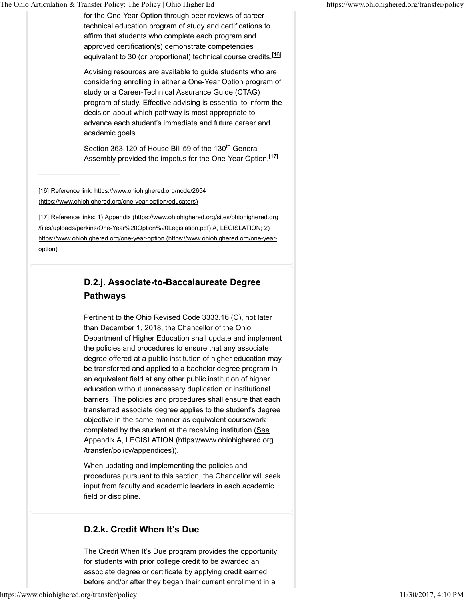for the One-Year Option through peer reviews of careertechnical education program of study and certifications to affirm that students who complete each program and approved certification(s) demonstrate competencies equivalent to 30 (or proportional) technical course credits.<sup>[16]</sup>

Advising resources are available to guide students who are considering enrolling in either a One-Year Option program of study or a Career-Technical Assurance Guide (CTAG) program of study. Effective advising is essential to inform the decision about which pathway is most appropriate to advance each student's immediate and future career and academic goals.

Section 363.120 of House Bill 59 of the 130<sup>th</sup> General Assembly provided the impetus for the One-Year Option.<sup>[17]</sup>

[16] Reference link: https://www.ohiohighered.org/node/2654 (https://www.ohiohighered.org/one-year-option/educators)

[17] Reference links: 1) Appendix (https://www.ohiohighered.org/sites/ohiohighered.org /files/uploads/perkins/One-Year%20Option%20Legislation.pdf) A, LEGISLATION; 2) https://www.ohiohighered.org/one-year-option (https://www.ohiohighered.org/one-yearoption)

# **D.2.j. Associate-to-Baccalaureate Degree Pathways**

Pertinent to the Ohio Revised Code 3333.16 (C), not later than December 1, 2018, the Chancellor of the Ohio Department of Higher Education shall update and implement the policies and procedures to ensure that any associate degree offered at a public institution of higher education may be transferred and applied to a bachelor degree program in an equivalent field at any other public institution of higher education without unnecessary duplication or institutional barriers. The policies and procedures shall ensure that each transferred associate degree applies to the student's degree objective in the same manner as equivalent coursework completed by the student at the receiving institution (See Appendix A, LEGISLATION (https://www.ohiohighered.org /transfer/policy/appendices)).

When updating and implementing the policies and procedures pursuant to this section, the Chancellor will seek input from faculty and academic leaders in each academic field or discipline.

## **D.2.k. Credit When It's Due**

The Credit When It's Due program provides the opportunity for students with prior college credit to be awarded an associate degree or certificate by applying credit earned before and/or after they began their current enrollment in a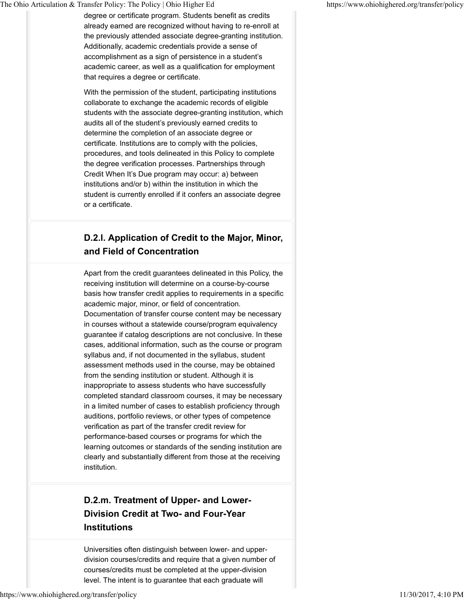degree or certificate program. Students benefit as credits already earned are recognized without having to re-enroll at the previously attended associate degree-granting institution. Additionally, academic credentials provide a sense of accomplishment as a sign of persistence in a student's academic career, as well as a qualification for employment that requires a degree or certificate.

With the permission of the student, participating institutions collaborate to exchange the academic records of eligible students with the associate degree-granting institution, which audits all of the student's previously earned credits to determine the completion of an associate degree or certificate. Institutions are to comply with the policies, procedures, and tools delineated in this Policy to complete the degree verification processes. Partnerships through Credit When It's Due program may occur: a) between institutions and/or b) within the institution in which the student is currently enrolled if it confers an associate degree or a certificate.

# **D.2.l. Application of Credit to the Major, Minor, and Field of Concentration**

Apart from the credit guarantees delineated in this Policy, the receiving institution will determine on a course-by-course basis how transfer credit applies to requirements in a specific academic major, minor, or field of concentration. Documentation of transfer course content may be necessary in courses without a statewide course/program equivalency guarantee if catalog descriptions are not conclusive. In these cases, additional information, such as the course or program syllabus and, if not documented in the syllabus, student assessment methods used in the course, may be obtained from the sending institution or student. Although it is inappropriate to assess students who have successfully completed standard classroom courses, it may be necessary in a limited number of cases to establish proficiency through auditions, portfolio reviews, or other types of competence verification as part of the transfer credit review for performance-based courses or programs for which the learning outcomes or standards of the sending institution are clearly and substantially different from those at the receiving institution.

# **D.2.m. Treatment of Upper- and Lower-Division Credit at Two- and Four-Year Institutions**

Universities often distinguish between lower- and upperdivision courses/credits and require that a given number of courses/credits must be completed at the upper-division level. The intent is to guarantee that each graduate will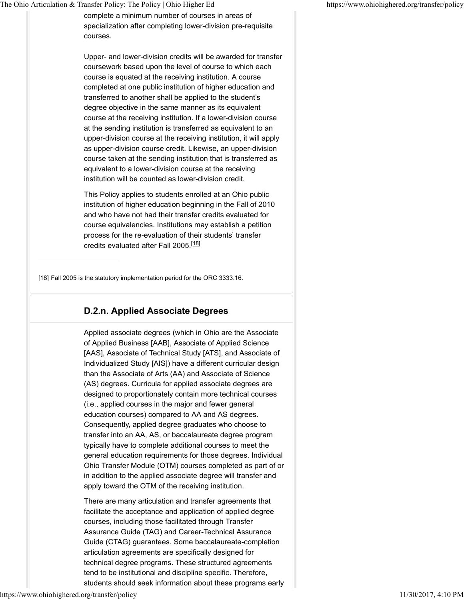complete a minimum number of courses in areas of specialization after completing lower-division pre-requisite courses.

Upper- and lower-division credits will be awarded for transfer coursework based upon the level of course to which each course is equated at the receiving institution. A course completed at one public institution of higher education and transferred to another shall be applied to the student's degree objective in the same manner as its equivalent course at the receiving institution. If a lower-division course at the sending institution is transferred as equivalent to an upper-division course at the receiving institution, it will apply as upper-division course credit. Likewise, an upper-division course taken at the sending institution that is transferred as equivalent to a lower-division course at the receiving institution will be counted as lower-division credit.

This Policy applies to students enrolled at an Ohio public institution of higher education beginning in the Fall of 2010 and who have not had their transfer credits evaluated for course equivalencies. Institutions may establish a petition process for the re-evaluation of their students' transfer credits evaluated after Fall 2005.<sup>[18]</sup>

[18] Fall 2005 is the statutory implementation period for the ORC 3333.16.

### **D.2.n. Applied Associate Degrees**

Applied associate degrees (which in Ohio are the Associate of Applied Business [AAB], Associate of Applied Science [AAS], Associate of Technical Study [ATS], and Associate of Individualized Study [AIS]) have a different curricular design than the Associate of Arts (AA) and Associate of Science (AS) degrees. Curricula for applied associate degrees are designed to proportionately contain more technical courses (i.e., applied courses in the major and fewer general education courses) compared to AA and AS degrees. Consequently, applied degree graduates who choose to transfer into an AA, AS, or baccalaureate degree program typically have to complete additional courses to meet the general education requirements for those degrees. Individual Ohio Transfer Module (OTM) courses completed as part of or in addition to the applied associate degree will transfer and apply toward the OTM of the receiving institution.

There are many articulation and transfer agreements that facilitate the acceptance and application of applied degree courses, including those facilitated through Transfer Assurance Guide (TAG) and Career-Technical Assurance Guide (CTAG) guarantees. Some baccalaureate-completion articulation agreements are specifically designed for technical degree programs. These structured agreements tend to be institutional and discipline specific. Therefore, students should seek information about these programs early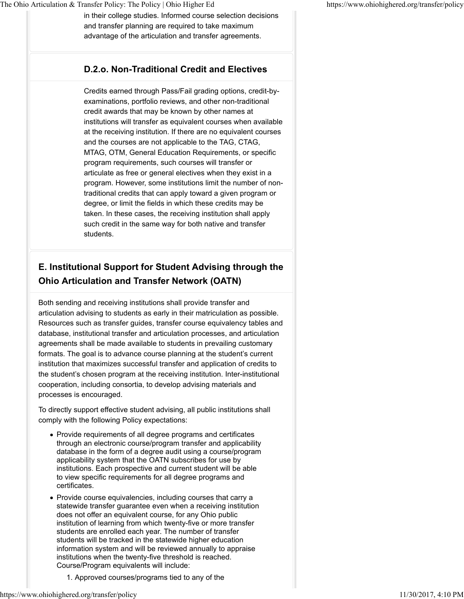in their college studies. Informed course selection decisions and transfer planning are required to take maximum advantage of the articulation and transfer agreements.

### **D.2.o. Non-Traditional Credit and Electives**

Credits earned through Pass/Fail grading options, credit-byexaminations, portfolio reviews, and other non-traditional credit awards that may be known by other names at institutions will transfer as equivalent courses when available at the receiving institution. If there are no equivalent courses and the courses are not applicable to the TAG, CTAG, MTAG, OTM, General Education Requirements, or specific program requirements, such courses will transfer or articulate as free or general electives when they exist in a program. However, some institutions limit the number of nontraditional credits that can apply toward a given program or degree, or limit the fields in which these credits may be taken. In these cases, the receiving institution shall apply such credit in the same way for both native and transfer students.

# **E. Institutional Support for Student Advising through the Ohio Articulation and Transfer Network (OATN)**

Both sending and receiving institutions shall provide transfer and articulation advising to students as early in their matriculation as possible. Resources such as transfer guides, transfer course equivalency tables and database, institutional transfer and articulation processes, and articulation agreements shall be made available to students in prevailing customary formats. The goal is to advance course planning at the student's current institution that maximizes successful transfer and application of credits to the student's chosen program at the receiving institution. Inter-institutional cooperation, including consortia, to develop advising materials and processes is encouraged.

To directly support effective student advising, all public institutions shall comply with the following Policy expectations:

- Provide requirements of all degree programs and certificates through an electronic course/program transfer and applicability database in the form of a degree audit using a course/program applicability system that the OATN subscribes for use by institutions. Each prospective and current student will be able to view specific requirements for all degree programs and certificates.
- Provide course equivalencies, including courses that carry a statewide transfer guarantee even when a receiving institution does not offer an equivalent course, for any Ohio public institution of learning from which twenty-five or more transfer students are enrolled each year. The number of transfer students will be tracked in the statewide higher education information system and will be reviewed annually to appraise institutions when the twenty-five threshold is reached. Course/Program equivalents will include:
	- 1. Approved courses/programs tied to any of the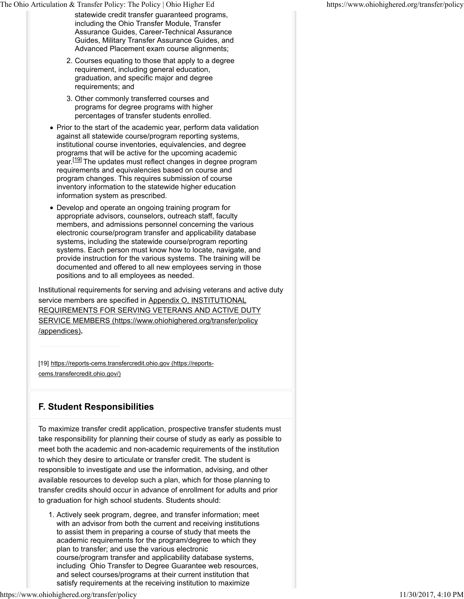- statewide credit transfer guaranteed programs, including the Ohio Transfer Module, Transfer Assurance Guides, Career-Technical Assurance Guides, Military Transfer Assurance Guides, and Advanced Placement exam course alignments;
- 2. Courses equating to those that apply to a degree requirement, including general education, graduation, and specific major and degree requirements; and
- 3. Other commonly transferred courses and programs for degree programs with higher percentages of transfer students enrolled.
- Prior to the start of the academic year, perform data validation against all statewide course/program reporting systems, institutional course inventories, equivalencies, and degree programs that will be active for the upcoming academic year.<sup>[19]</sup> The updates must reflect changes in degree program requirements and equivalencies based on course and program changes. This requires submission of course inventory information to the statewide higher education information system as prescribed.
- Develop and operate an ongoing training program for appropriate advisors, counselors, outreach staff, faculty members, and admissions personnel concerning the various electronic course/program transfer and applicability database systems, including the statewide course/program reporting systems. Each person must know how to locate, navigate, and provide instruction for the various systems. The training will be documented and offered to all new employees serving in those positions and to all employees as needed.

Institutional requirements for serving and advising veterans and active duty service members are specified in Appendix O, INSTITUTIONAL REQUIREMENTS FOR SERVING VETERANS AND ACTIVE DUTY SERVICE MEMBERS (https://www.ohiohighered.org/transfer/policy /appendices)**.**

[19] https://reports-cems.transfercredit.ohio.gov (https://reports-

cems.transfercredit.ohio.gov/)

### **F. Student Responsibilities**

To maximize transfer credit application, prospective transfer students must take responsibility for planning their course of study as early as possible to meet both the academic and non-academic requirements of the institution to which they desire to articulate or transfer credit. The student is responsible to investigate and use the information, advising, and other available resources to develop such a plan, which for those planning to transfer credits should occur in advance of enrollment for adults and prior to graduation for high school students. Students should:

Actively seek program, degree, and transfer information; meet 1. with an advisor from both the current and receiving institutions to assist them in preparing a course of study that meets the academic requirements for the program/degree to which they plan to transfer; and use the various electronic course/program transfer and applicability database systems, including Ohio Transfer to Degree Guarantee web resources, and select courses/programs at their current institution that satisfy requirements at the receiving institution to maximize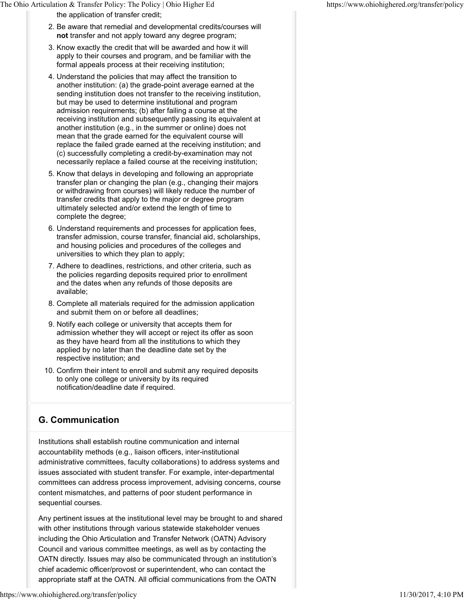the application of transfer credit;

- 2. Be aware that remedial and developmental credits/courses will **not** transfer and not apply toward any degree program;
- 3. Know exactly the credit that will be awarded and how it will apply to their courses and program, and be familiar with the formal appeals process at their receiving institution;
- Understand the policies that may affect the transition to 4. another institution: (a) the grade-point average earned at the sending institution does not transfer to the receiving institution, but may be used to determine institutional and program admission requirements; (b) after failing a course at the receiving institution and subsequently passing its equivalent at another institution (e.g., in the summer or online) does not mean that the grade earned for the equivalent course will replace the failed grade earned at the receiving institution; and (c) successfully completing a credit-by-examination may not necessarily replace a failed course at the receiving institution;
- 5. Know that delays in developing and following an appropriate transfer plan or changing the plan (e.g., changing their majors or withdrawing from courses) will likely reduce the number of transfer credits that apply to the major or degree program ultimately selected and/or extend the length of time to complete the degree;
- 6. Understand requirements and processes for application fees, transfer admission, course transfer, financial aid, scholarships, and housing policies and procedures of the colleges and universities to which they plan to apply;
- 7. Adhere to deadlines, restrictions, and other criteria, such as the policies regarding deposits required prior to enrollment and the dates when any refunds of those deposits are available;
- 8. Complete all materials required for the admission application and submit them on or before all deadlines;
- 9. Notify each college or university that accepts them for admission whether they will accept or reject its offer as soon as they have heard from all the institutions to which they applied by no later than the deadline date set by the respective institution; and
- 10. Confirm their intent to enroll and submit any required deposits to only one college or university by its required notification/deadline date if required.

### **G. Communication**

Institutions shall establish routine communication and internal accountability methods (e.g., liaison officers, inter-institutional administrative committees, faculty collaborations) to address systems and issues associated with student transfer. For example, inter-departmental committees can address process improvement, advising concerns, course content mismatches, and patterns of poor student performance in sequential courses.

Any pertinent issues at the institutional level may be brought to and shared with other institutions through various statewide stakeholder venues including the Ohio Articulation and Transfer Network (OATN) Advisory Council and various committee meetings, as well as by contacting the OATN directly. Issues may also be communicated through an institution's chief academic officer/provost or superintendent, who can contact the appropriate staff at the OATN. All official communications from the OATN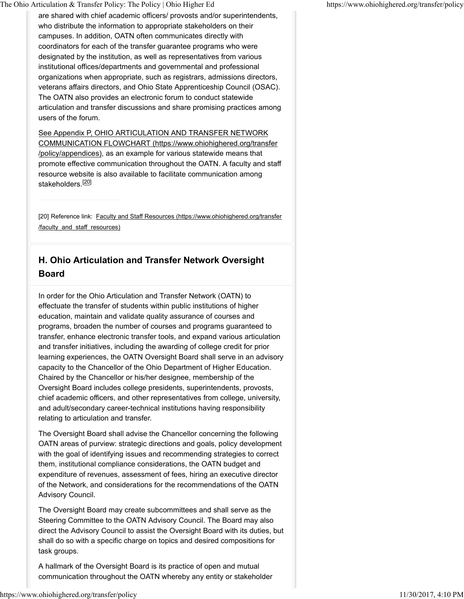are shared with chief academic officers/ provosts and/or superintendents, who distribute the information to appropriate stakeholders on their campuses. In addition, OATN often communicates directly with coordinators for each of the transfer guarantee programs who were designated by the institution, as well as representatives from various institutional offices/departments and governmental and professional organizations when appropriate, such as registrars, admissions directors, veterans affairs directors, and Ohio State Apprenticeship Council (OSAC). The OATN also provides an electronic forum to conduct statewide articulation and transfer discussions and share promising practices among users of the forum.

See Appendix P, OHIO ARTICULATION AND TRANSFER NETWORK COMMUNICATION FLOWCHART (https://www.ohiohighered.org/transfer /policy/appendices), as an example for various statewide means that promote effective communication throughout the OATN. A faculty and staff resource website is also available to facilitate communication among stakeholders.<sup>[20]</sup>

[20] Reference link: Faculty and Staff Resources (https://www.ohiohighered.org/transfer /faculty\_and\_staff\_resources)

# **H. Ohio Articulation and Transfer Network Oversight Board**

In order for the Ohio Articulation and Transfer Network (OATN) to effectuate the transfer of students within public institutions of higher education, maintain and validate quality assurance of courses and programs, broaden the number of courses and programs guaranteed to transfer, enhance electronic transfer tools, and expand various articulation and transfer initiatives, including the awarding of college credit for prior learning experiences, the OATN Oversight Board shall serve in an advisory capacity to the Chancellor of the Ohio Department of Higher Education. Chaired by the Chancellor or his/her designee, membership of the Oversight Board includes college presidents, superintendents, provosts, chief academic officers, and other representatives from college, university, and adult/secondary career-technical institutions having responsibility relating to articulation and transfer.

The Oversight Board shall advise the Chancellor concerning the following OATN areas of purview: strategic directions and goals, policy development with the goal of identifying issues and recommending strategies to correct them, institutional compliance considerations, the OATN budget and expenditure of revenues, assessment of fees, hiring an executive director of the Network, and considerations for the recommendations of the OATN Advisory Council.

The Oversight Board may create subcommittees and shall serve as the Steering Committee to the OATN Advisory Council. The Board may also direct the Advisory Council to assist the Oversight Board with its duties, but shall do so with a specific charge on topics and desired compositions for task groups.

A hallmark of the Oversight Board is its practice of open and mutual communication throughout the OATN whereby any entity or stakeholder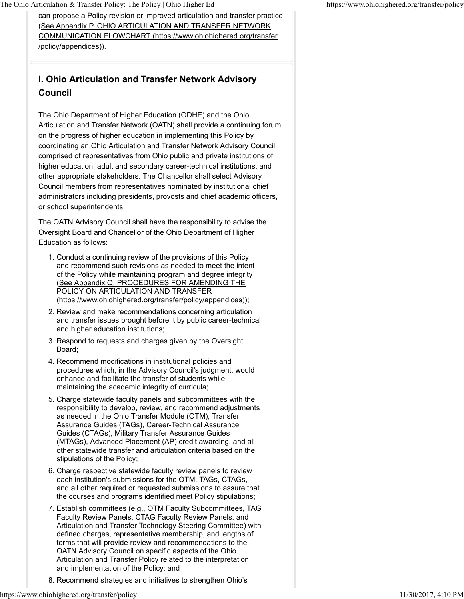can propose a Policy revision or improved articulation and transfer practice (See Appendix P, OHIO ARTICULATION AND TRANSFER NETWORK COMMUNICATION FLOWCHART (https://www.ohiohighered.org/transfer /policy/appendices)).

# **I. Ohio Articulation and Transfer Network Advisory Council**

The Ohio Department of Higher Education (ODHE) and the Ohio Articulation and Transfer Network (OATN) shall provide a continuing forum on the progress of higher education in implementing this Policy by coordinating an Ohio Articulation and Transfer Network Advisory Council comprised of representatives from Ohio public and private institutions of higher education, adult and secondary career-technical institutions, and other appropriate stakeholders. The Chancellor shall select Advisory Council members from representatives nominated by institutional chief administrators including presidents, provosts and chief academic officers, or school superintendents.

The OATN Advisory Council shall have the responsibility to advise the Oversight Board and Chancellor of the Ohio Department of Higher Education as follows:

- 1. Conduct a continuing review of the provisions of this Policy and recommend such revisions as needed to meet the intent of the Policy while maintaining program and degree integrity (See Appendix Q, PROCEDURES FOR AMENDING THE POLICY ON ARTICULATION AND TRANSFER (https://www.ohiohighered.org/transfer/policy/appendices));
- 2. Review and make recommendations concerning articulation and transfer issues brought before it by public career-technical and higher education institutions;
- 3. Respond to requests and charges given by the Oversight Board;
- 4. Recommend modifications in institutional policies and procedures which, in the Advisory Council's judgment, would enhance and facilitate the transfer of students while maintaining the academic integrity of curricula;
- 5. Charge statewide faculty panels and subcommittees with the responsibility to develop, review, and recommend adjustments as needed in the Ohio Transfer Module (OTM), Transfer Assurance Guides (TAGs), Career-Technical Assurance Guides (CTAGs), Military Transfer Assurance Guides (MTAGs), Advanced Placement (AP) credit awarding, and all other statewide transfer and articulation criteria based on the stipulations of the Policy;
- 6. Charge respective statewide faculty review panels to review each institution's submissions for the OTM, TAGs, CTAGs, and all other required or requested submissions to assure that the courses and programs identified meet Policy stipulations;
- 7. Establish committees (e.g., OTM Faculty Subcommittees, TAG Faculty Review Panels, CTAG Faculty Review Panels, and Articulation and Transfer Technology Steering Committee) with defined charges, representative membership, and lengths of terms that will provide review and recommendations to the OATN Advisory Council on specific aspects of the Ohio Articulation and Transfer Policy related to the interpretation and implementation of the Policy; and
- 8. Recommend strategies and initiatives to strengthen Ohio's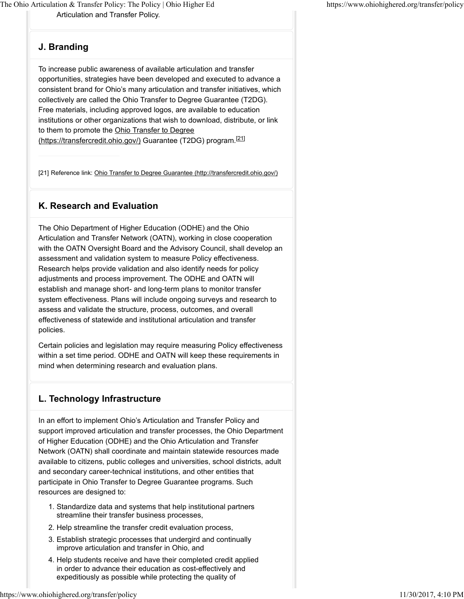Articulation and Transfer Policy. The Ohio Articulation & Transfer Policy: The Policy | Ohio Higher Ed https://www.ohiohighered.org/transfer/policy

#### **J. Branding**

To increase public awareness of available articulation and transfer opportunities, strategies have been developed and executed to advance a consistent brand for Ohio's many articulation and transfer initiatives, which collectively are called the Ohio Transfer to Degree Guarantee (T2DG). Free materials, including approved logos, are available to education institutions or other organizations that wish to download, distribute, or link to them to promote the Ohio Transfer to Degree (https://transfercredit.ohio.gov/) Guarantee (T2DG) program.<sup>[21]</sup>

[21] Reference link: Ohio Transfer to Degree Guarantee (http://transfercredit.ohio.gov/)

#### **K. Research and Evaluation**

The Ohio Department of Higher Education (ODHE) and the Ohio Articulation and Transfer Network (OATN), working in close cooperation with the OATN Oversight Board and the Advisory Council, shall develop an assessment and validation system to measure Policy effectiveness. Research helps provide validation and also identify needs for policy adjustments and process improvement. The ODHE and OATN will establish and manage short- and long-term plans to monitor transfer system effectiveness. Plans will include ongoing surveys and research to assess and validate the structure, process, outcomes, and overall effectiveness of statewide and institutional articulation and transfer policies.

Certain policies and legislation may require measuring Policy effectiveness within a set time period. ODHE and OATN will keep these requirements in mind when determining research and evaluation plans.

### **L. Technology Infrastructure**

In an effort to implement Ohio's Articulation and Transfer Policy and support improved articulation and transfer processes, the Ohio Department of Higher Education (ODHE) and the Ohio Articulation and Transfer Network (OATN) shall coordinate and maintain statewide resources made available to citizens, public colleges and universities, school districts, adult and secondary career-technical institutions, and other entities that participate in Ohio Transfer to Degree Guarantee programs. Such resources are designed to:

- 1. Standardize data and systems that help institutional partners streamline their transfer business processes,
- 2. Help streamline the transfer credit evaluation process,
- Establish strategic processes that undergird and continually 3. improve articulation and transfer in Ohio, and
- 4. Help students receive and have their completed credit applied in order to advance their education as cost-effectively and expeditiously as possible while protecting the quality of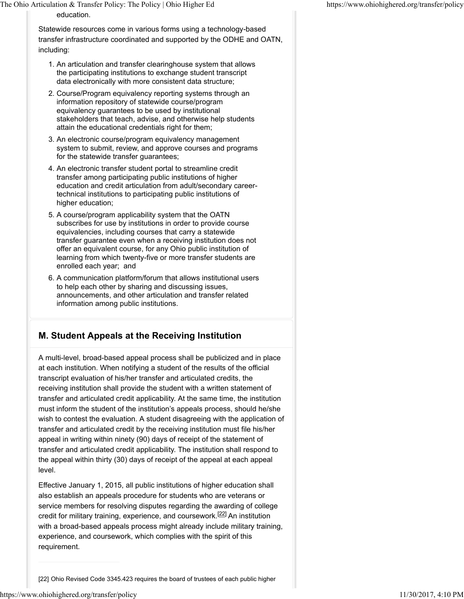Statewide resources come in various forms using a technology-based transfer infrastructure coordinated and supported by the ODHE and OATN, including:

- 1. An articulation and transfer clearinghouse system that allows the participating institutions to exchange student transcript data electronically with more consistent data structure;
- 2. Course/Program equivalency reporting systems through an information repository of statewide course/program equivalency guarantees to be used by institutional stakeholders that teach, advise, and otherwise help students attain the educational credentials right for them;
- 3. An electronic course/program equivalency management system to submit, review, and approve courses and programs for the statewide transfer guarantees;
- 4. An electronic transfer student portal to streamline credit transfer among participating public institutions of higher education and credit articulation from adult/secondary careertechnical institutions to participating public institutions of higher education;
- 5. A course/program applicability system that the OATN subscribes for use by institutions in order to provide course equivalencies, including courses that carry a statewide transfer guarantee even when a receiving institution does not offer an equivalent course, for any Ohio public institution of learning from which twenty-five or more transfer students are enrolled each year; and
- 6. A communication platform/forum that allows institutional users to help each other by sharing and discussing issues, announcements, and other articulation and transfer related information among public institutions.

## **M. Student Appeals at the Receiving Institution**

A multi-level, broad-based appeal process shall be publicized and in place at each institution. When notifying a student of the results of the official transcript evaluation of his/her transfer and articulated credits, the receiving institution shall provide the student with a written statement of transfer and articulated credit applicability. At the same time, the institution must inform the student of the institution's appeals process, should he/she wish to contest the evaluation. A student disagreeing with the application of transfer and articulated credit by the receiving institution must file his/her appeal in writing within ninety (90) days of receipt of the statement of transfer and articulated credit applicability. The institution shall respond to the appeal within thirty (30) days of receipt of the appeal at each appeal level.

Effective January 1, 2015, all public institutions of higher education shall also establish an appeals procedure for students who are veterans or service members for resolving disputes regarding the awarding of college credit for military training, experience, and coursework.<sup>[22]</sup> An institution with a broad-based appeals process might already include military training, experience, and coursework, which complies with the spirit of this requirement.